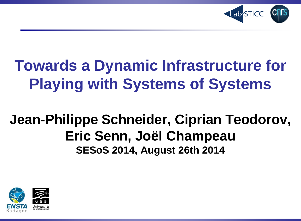

## **Towards a Dynamic Infrastructure for Playing with Systems of Systems**

### **Jean-Philippe Schneider, Ciprian Teodorov, Eric Senn, Joël Champeau SESoS 2014, August 26th 2014**

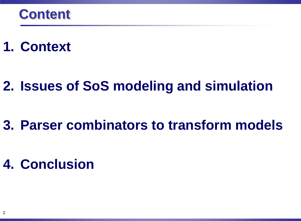### **1. Context**

### **2. Issues of SoS modeling and simulation**

### **3. Parser combinators to transform models**

### **4. Conclusion**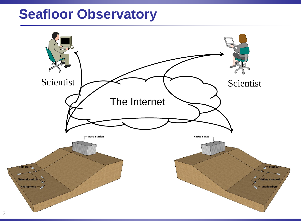#### **Seafloor Observatory**

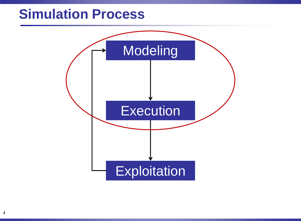#### **Simulation Process**

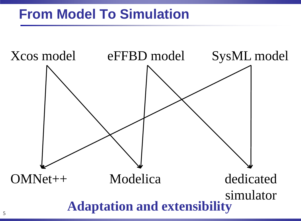### **From Model To Simulation**

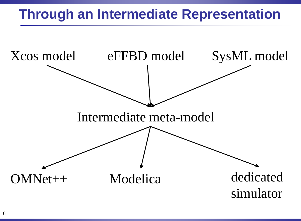### **Through an Intermediate Representation**

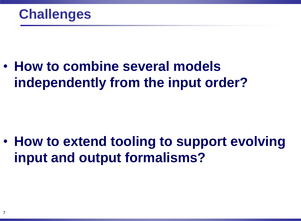• **How to combine several models independently from the input order?**

• **How to extend tooling to support evolving input and output formalisms?**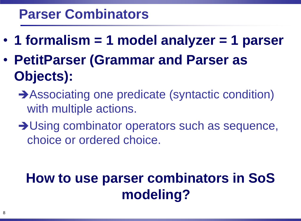#### **Parser Combinators**

- **1 formalism = 1 model analyzer = 1 parser**
- **PetitParser (Grammar and Parser as Objects):**
	- Associating one predicate (syntactic condition) with multiple actions.
	- **→ Using combinator operators such as sequence,** choice or ordered choice.

### **How to use parser combinators in SoS modeling?**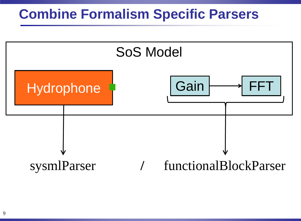#### **Combine Formalism Specific Parsers**

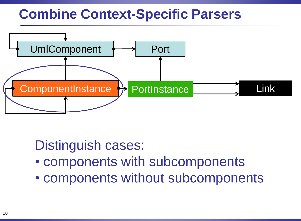### **Combine Context-Specific Parsers**



#### Distinguish cases:

- components with subcomponents
- components without subcomponents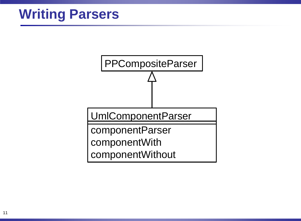### **Writing Parsers**

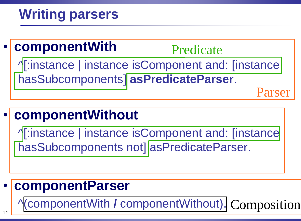### **Writing parsers**



#### • **componentWithout**

**1**: instance | instance isComponent and: [instance hasSubcomponents not] asPredicateParser.

#### • **componentParser**

^(componentWith **/** componentWithout). Composition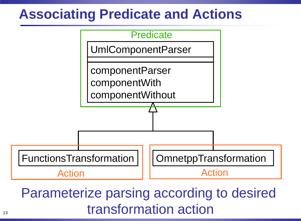### **Associating Predicate and Actions**



#### Parameterize parsing according to desired transformation action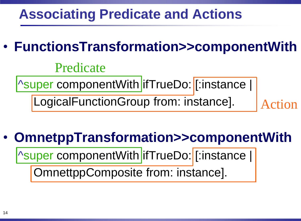### **Associating Predicate and Actions**

### • **FunctionsTransformation>>componentWith**

#### Predicate

| Super componentWith | ifTrueDo: [:instance |

LogicalFunctionGroup from: instance].

Action

### • **OmnetppTransformation>>componentWith**

| Super componentWith | ifTrueDo: [:instance |

OmnettppComposite from: instance].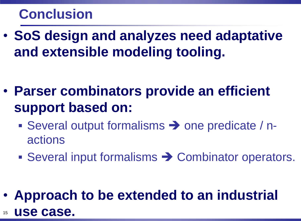### **Conclusion**

• **SoS design and analyzes need adaptative and extensible modeling tooling.**

- **Parser combinators provide an efficient support based on:**
	- Several output formalisms  $\rightarrow$  one predicate / nactions
	- Several input formalisms  $\rightarrow$  Combinator operators.

• **Approach to be extended to an industrial** use case.